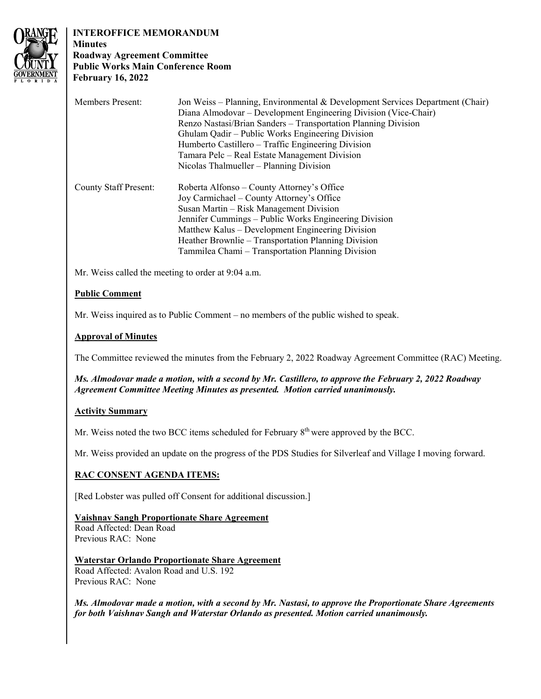

# **INTEROFFICE MEMORANDUM**

# **Minutes Roadway Agreement Committee Public Works Main Conference Room February 16, 2022**

| <b>Members Present:</b>      | Jon Weiss – Planning, Environmental & Development Services Department (Chair)<br>Diana Almodovar - Development Engineering Division (Vice-Chair)<br>Renzo Nastasi/Brian Sanders – Transportation Planning Division<br>Ghulam Qadir – Public Works Engineering Division<br>Humberto Castillero – Traffic Engineering Division<br>Tamara Pelc – Real Estate Management Division<br>Nicolas Thalmueller – Planning Division |
|------------------------------|--------------------------------------------------------------------------------------------------------------------------------------------------------------------------------------------------------------------------------------------------------------------------------------------------------------------------------------------------------------------------------------------------------------------------|
| <b>County Staff Present:</b> | Roberta Alfonso – County Attorney's Office<br>Joy Carmichael – County Attorney's Office<br>Susan Martin – Risk Management Division<br>Jennifer Cummings – Public Works Engineering Division<br>Matthew Kalus – Development Engineering Division<br>Heather Brownlie – Transportation Planning Division<br>Tammilea Chami – Transportation Planning Division                                                              |

Mr. Weiss called the meeting to order at 9:04 a.m.

# **Public Comment**

Mr. Weiss inquired as to Public Comment – no members of the public wished to speak.

# **Approval of Minutes**

The Committee reviewed the minutes from the February 2, 2022 Roadway Agreement Committee (RAC) Meeting.

*Ms. Almodovar made a motion, with a second by Mr. Castillero, to approve the February 2, 2022 Roadway Agreement Committee Meeting Minutes as presented. Motion carried unanimously.* 

# **Activity Summary**

Mr. Weiss noted the two BCC items scheduled for February 8<sup>th</sup> were approved by the BCC.

Mr. Weiss provided an update on the progress of the PDS Studies for Silverleaf and Village I moving forward.

# **RAC CONSENT AGENDA ITEMS:**

[Red Lobster was pulled off Consent for additional discussion.]

# **Vaishnav Sangh Proportionate Share Agreement**

Road Affected: Dean Road Previous RAC: None

#### Road Affected: Avalon Road and U.S. 192 **Waterstar Orlando Proportionate Share Agreement**  Previous RAC: None

*Ms. Almodovar made a motion, with a second by Mr. Nastasi, to approve the Proportionate Share Agreements for both Vaishnav Sangh and Waterstar Orlando as presented. Motion carried unanimously.*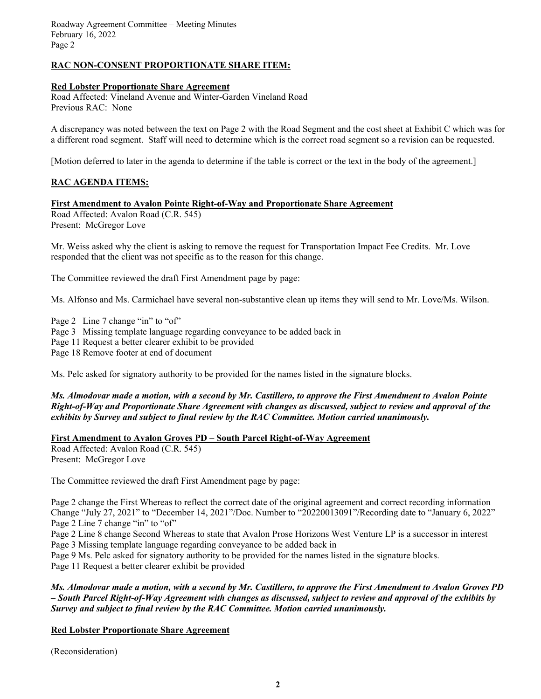Roadway Agreement Committee – Meeting Minutes February 16, 2022 Page 2

## **RAC NON-CONSENT PROPORTIONATE SHARE ITEM:**

#### **Red Lobster Proportionate Share Agreement**

Road Affected: Vineland Avenue and Winter-Garden Vineland Road Previous RAC: None

A discrepancy was noted between the text on Page 2 with the Road Segment and the cost sheet at Exhibit C which was for a different road segment. Staff will need to determine which is the correct road segment so a revision can be requested.

[Motion deferred to later in the agenda to determine if the table is correct or the text in the body of the agreement.]

## **RAC AGENDA ITEMS:**

#### **First Amendment to Avalon Pointe Right-of-Way and Proportionate Share Agreement**

Road Affected: Avalon Road (C.R. 545) Present: McGregor Love

Mr. Weiss asked why the client is asking to remove the request for Transportation Impact Fee Credits. Mr. Love responded that the client was not specific as to the reason for this change.

The Committee reviewed the draft First Amendment page by page:

Ms. Alfonso and Ms. Carmichael have several non-substantive clean up items they will send to Mr. Love/Ms. Wilson.

 Page 3 Missing template language regarding conveyance to be added back in Page 2 Line 7 change "in" to "of" Page 11 Request a better clearer exhibit to be provided Page 18 Remove footer at end of document

Ms. Pelc asked for signatory authority to be provided for the names listed in the signature blocks.

### *Ms. Almodovar made a motion, with a second by Mr. Castillero, to approve the First Amendment to Avalon Pointe Right-of-Way and Proportionate Share Agreement with changes as discussed, subject to review and approval of the exhibits by Survey and subject to final review by the RAC Committee. Motion carried unanimously.*

#### **First Amendment to Avalon Groves PD – South Parcel Right-of-Way Agreement**

Road Affected: Avalon Road (C.R. 545) Present: McGregor Love

The Committee reviewed the draft First Amendment page by page:

 Page 2 change the First Whereas to reflect the correct date of the original agreement and correct recording information Change "July 27, 2021" to "December 14, 2021"/Doc. Number to "20220013091"/Recording date to "January 6, 2022" Page 2 Line 7 change "in" to "of"

Page 2 Line 8 change Second Whereas to state that Avalon Prose Horizons West Venture LP is a successor in interest Page 3 Missing template language regarding conveyance to be added back in

Page 9 Ms. Pelc asked for signatory authority to be provided for the names listed in the signature blocks.

Page 11 Request a better clearer exhibit be provided

*Ms. Almodovar made a motion, with a second by Mr. Castillero, to approve the First Amendment to Avalon Groves PD – South Parcel Right-of-Way Agreement with changes as discussed, subject to review and approval of the exhibits by Survey and subject to final review by the RAC Committee. Motion carried unanimously.* 

## **Red Lobster Proportionate Share Agreement**

(Reconsideration)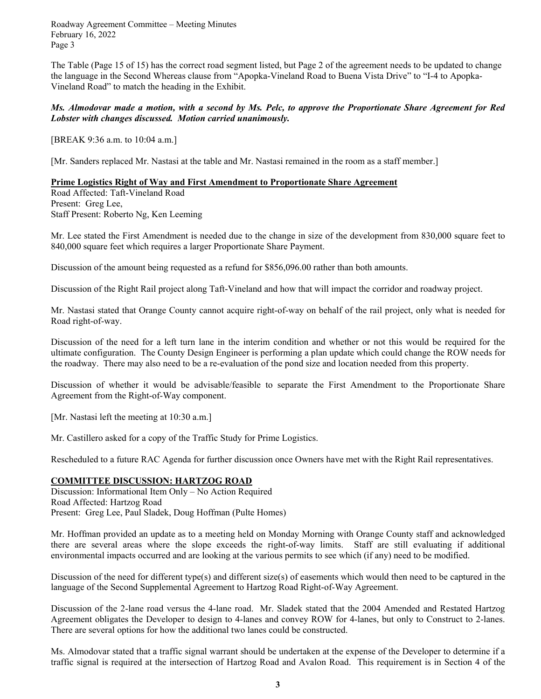Roadway Agreement Committee – Meeting Minutes February 16, 2022 Page 3

The Table (Page 15 of 15) has the correct road segment listed, but Page 2 of the agreement needs to be updated to change the language in the Second Whereas clause from "Apopka-Vineland Road to Buena Vista Drive" to "I-4 to Apopka-Vineland Road" to match the heading in the Exhibit.

### *Ms. Almodovar made a motion, with a second by Ms. Pelc, to approve the Proportionate Share Agreement for Red Lobster with changes discussed. Motion carried unanimously.*

[BREAK 9:36 a.m. to 10:04 a.m.]

[Mr. Sanders replaced Mr. Nastasi at the table and Mr. Nastasi remained in the room as a staff member.]

#### **Prime Logistics Right of Way and First Amendment to Proportionate Share Agreement**

Road Affected: Taft-Vineland Road Present: Greg Lee, Staff Present: Roberto Ng, Ken Leeming

Mr. Lee stated the First Amendment is needed due to the change in size of the development from 830,000 square feet to 840,000 square feet which requires a larger Proportionate Share Payment.

Discussion of the amount being requested as a refund for \$856,096.00 rather than both amounts.

Discussion of the Right Rail project along Taft-Vineland and how that will impact the corridor and roadway project.

Mr. Nastasi stated that Orange County cannot acquire right-of-way on behalf of the rail project, only what is needed for Road right-of-way.

Discussion of the need for a left turn lane in the interim condition and whether or not this would be required for the ultimate configuration. The County Design Engineer is performing a plan update which could change the ROW needs for the roadway. There may also need to be a re-evaluation of the pond size and location needed from this property.

Discussion of whether it would be advisable/feasible to separate the First Amendment to the Proportionate Share Agreement from the Right-of-Way component.

[Mr. Nastasi left the meeting at 10:30 a.m.]

Mr. Castillero asked for a copy of the Traffic Study for Prime Logistics.

Rescheduled to a future RAC Agenda for further discussion once Owners have met with the Right Rail representatives.

## **COMMITTEE DISCUSSION: HARTZOG ROAD**

Discussion: Informational Item Only – No Action Required Road Affected: Hartzog Road Present: Greg Lee, Paul Sladek, Doug Hoffman (Pulte Homes)

Mr. Hoffman provided an update as to a meeting held on Monday Morning with Orange County staff and acknowledged there are several areas where the slope exceeds the right-of-way limits. Staff are still evaluating if additional environmental impacts occurred and are looking at the various permits to see which (if any) need to be modified.

 Discussion of the need for different type(s) and different size(s) of easements which would then need to be captured in the language of the Second Supplemental Agreement to Hartzog Road Right-of-Way Agreement.

 Discussion of the 2-lane road versus the 4-lane road. Mr. Sladek stated that the 2004 Amended and Restated Hartzog Agreement obligates the Developer to design to 4-lanes and convey ROW for 4-lanes, but only to Construct to 2-lanes. There are several options for how the additional two lanes could be constructed.

 traffic signal is required at the intersection of Hartzog Road and Avalon Road. This requirement is in Section 4 of the Ms. Almodovar stated that a traffic signal warrant should be undertaken at the expense of the Developer to determine if a